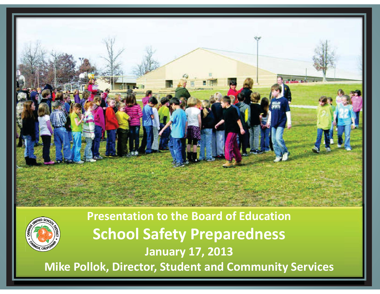



**Presentation to the Board of Education School Safety Preparedness January 17, 2013 Mike Pollok, Director, Student and Community Services**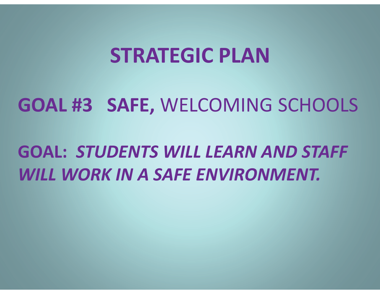#### **STRATEGIC PLAN**

#### **GOAL #3 SAFE,** WELCOMING SCHOOLS

#### **GOAL:** *STUDENTS WILL LEARN AND STAFF WILL WORK IN A SAFE ENVIRONMENT.*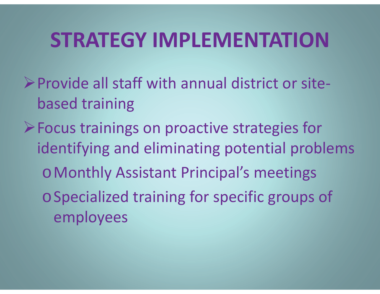- ¾Provide all staff with annual district or sitebased training
- ¾Focus trainings on proactive strategies for identifying and eliminating potential problems <sup>o</sup>Monthly Assistant Principal's meetings <sup>o</sup>Specialized training for specific groups of employees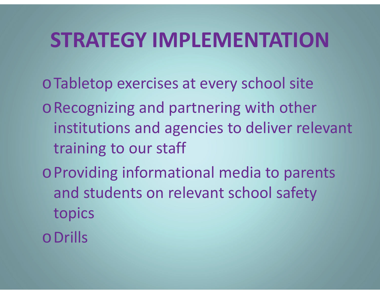- <sup>o</sup>Tabletop exercises at every school site
- <sup>o</sup>Recognizing and partnering with other institutions and agencies to deliver relevant training to our staff
- <sup>o</sup>Providing informational media to parents and students on relevant school safety topics
- oDrills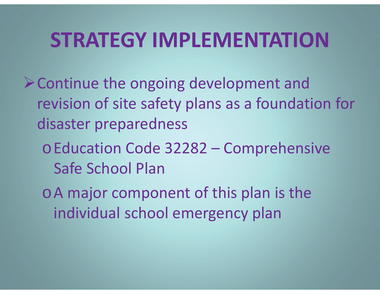- ¾Continue the ongoing development and revision of site safety plans as a foundation for disaster preparedness
	- <sup>o</sup>Education Code 32282 Comprehensive Safe School Plan
	- <sup>o</sup>A major component of this plan is the individual school emergency plan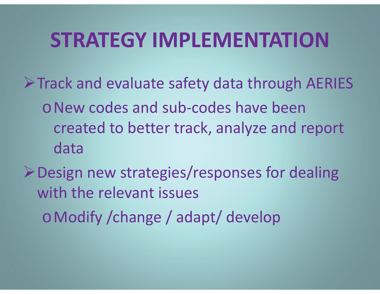$\triangleright$  Track and evaluate safety data through AERIES

- <sup>o</sup>New codes and sub-codes have been created to better track, analyze and report data
- ¾Design new strategies/responses for dealing with the relevant issues
	- oModify /change / adapt/ develop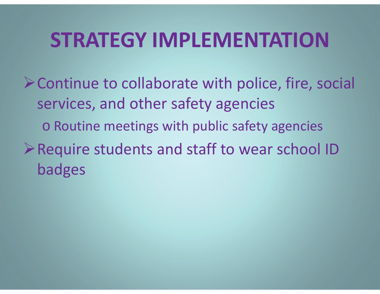¾Continue to collaborate with police, fire, social services, and other safety agencies o Routine meetings with public safety agencies ¾Require students and staff to wear school ID badges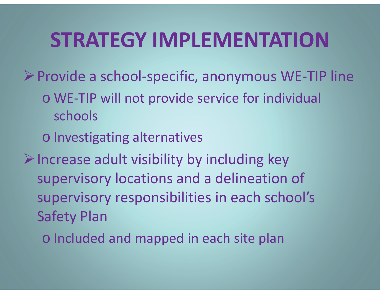- ¾Provide a school-specific, anonymous WE-TIP line
	- o WE-TIP will not provide service for individual schools
	- o Investigating alternatives
- $\triangleright$  Increase adult visibility by including key supervisory locations and a delineation of supervisory responsibilities in each school's Safety Plan
	- o Included and mapped in each site plan